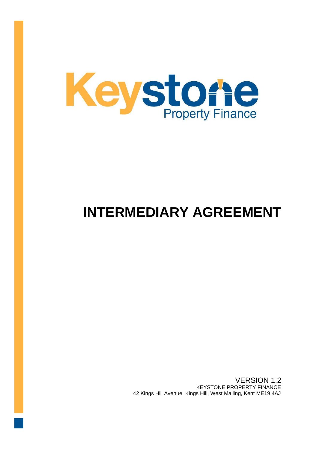

# **INTERMEDIARY AGREEMENT**

VERSION 1.2 KEYSTONE PROPERTY FINANCE 42 Kings Hill Avenue, Kings Hill, West Malling, Kent ME19 4AJ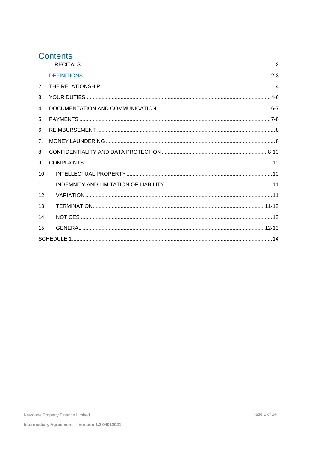# **Contents**

| $\perp$        |  |
|----------------|--|
| $\overline{2}$ |  |
| $\overline{3}$ |  |
| $\overline{4}$ |  |
| 5              |  |
| 6              |  |
| 7 <sub>1</sub> |  |
| 8              |  |
| 9              |  |
| 10             |  |
| 11             |  |
| 12             |  |
| 13             |  |
| 14             |  |
| 15             |  |
|                |  |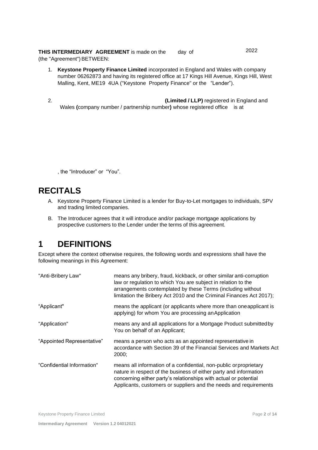**THIS INTERMEDIARY AGREEMENT** is made on the day of 2022 (the "Agreement") BETWEEN:

- 1. **Keystone Property Finance Limited** incorporated in England and Wales with company number 06262873 and having its registered office at 17 Kings Hill Avenue, Kings Hill, West Malling, Kent, ME19 4UA ("Keystone Property Finance" or the "Lender").
- 2. **(Limited / LLP)** registered in England and Wales **(**company number / partnership number**)** whose registered office is at

, the "Introducer" or "You".

# <span id="page-2-0"></span>**RECITALS**

- A. Keystone Property Finance Limited is a lender for Buy-to-Let mortgages to individuals, SPV and trading limited companies.
- B. The Introducer agrees that it will introduce and/or package mortgage applications by prospective customers to the Lender under the terms of this agreement.

# <span id="page-2-1"></span>**1 DEFINITIONS**

Except where the context otherwise requires, the following words and expressions shall have the following meanings in this Agreement:

| "Anti-Bribery Law"         | means any bribery, fraud, kickback, or other similar anti-corruption<br>law or regulation to which You are subject in relation to the<br>arrangements contemplated by these Terms (including without<br>limitation the Bribery Act 2010 and the Criminal Finances Act 2017);     |
|----------------------------|----------------------------------------------------------------------------------------------------------------------------------------------------------------------------------------------------------------------------------------------------------------------------------|
| "Applicant"                | means the applicant (or applicants where more than one applicant is<br>applying) for whom You are processing an Application                                                                                                                                                      |
| "Application"              | means any and all applications for a Mortgage Product submitted by<br>You on behalf of an Applicant;                                                                                                                                                                             |
| "Appointed Representative" | means a person who acts as an appointed representative in<br>accordance with Section 39 of the Financial Services and Markets Act<br>2000;                                                                                                                                       |
| "Confidential Information" | means all information of a confidential, non-public or proprietary<br>nature in respect of the business of either party and information<br>concerning either party's relationships with actual or potential<br>Applicants, customers or suppliers and the needs and requirements |

Keystone Property Finance Limited **Page 2** of 14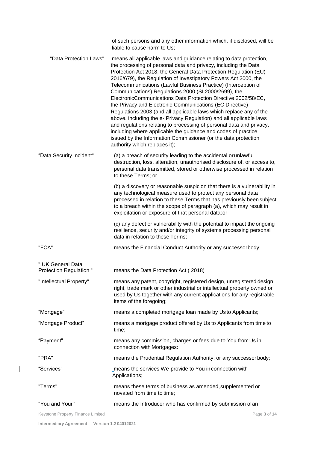|                                              | of such persons and any other information which, if disclosed, will be<br>liable to cause harm to Us;                                                                                                                                                                                                                                                                                                                                                                                                                                                                                                                                                                                                                                                                                                                                                                                                                          |
|----------------------------------------------|--------------------------------------------------------------------------------------------------------------------------------------------------------------------------------------------------------------------------------------------------------------------------------------------------------------------------------------------------------------------------------------------------------------------------------------------------------------------------------------------------------------------------------------------------------------------------------------------------------------------------------------------------------------------------------------------------------------------------------------------------------------------------------------------------------------------------------------------------------------------------------------------------------------------------------|
| "Data Protection Laws"                       | means all applicable laws and guidance relating to data protection,<br>the processing of personal data and privacy, including the Data<br>Protection Act 2018, the General Data Protection Regulation (EU)<br>2016/679), the Regulation of Investigatory Powers Act 2000, the<br>Telecommunications (Lawful Business Practice) (Interception of<br>Communications) Regulations 2000 (SI 2000/2699), the<br>ElectronicCommunications Data Protection Directive 2002/58/EC,<br>the Privacy and Electronic Communications (EC Directive)<br>Regulations 2003 (and all applicable laws which replace any of the<br>above, including the e- Privacy Regulation) and all applicable laws<br>and regulations relating to processing of personal data and privacy,<br>including where applicable the guidance and codes of practice<br>issued by the Information Commissioner (or the data protection<br>authority which replaces it); |
| "Data Security Incident"                     | (a) a breach of security leading to the accidental or unlawful<br>destruction, loss, alteration, unauthorised disclosure of, or access to,<br>personal data transmitted, stored or otherwise processed in relation<br>to these Terms; or                                                                                                                                                                                                                                                                                                                                                                                                                                                                                                                                                                                                                                                                                       |
|                                              | (b) a discovery or reasonable suspicion that there is a vulnerability in<br>any technological measure used to protect any personal data<br>processed in relation to these Terms that has previously been subject<br>to a breach within the scope of paragraph (a), which may result in<br>exploitation or exposure of that personal data; or                                                                                                                                                                                                                                                                                                                                                                                                                                                                                                                                                                                   |
|                                              | (c) any defect or vulnerability with the potential to impact the ongoing<br>resilience, security and/or integrity of systems processing personal<br>data in relation to these Terms;                                                                                                                                                                                                                                                                                                                                                                                                                                                                                                                                                                                                                                                                                                                                           |
| "FCA"                                        | means the Financial Conduct Authority or any successorbody;                                                                                                                                                                                                                                                                                                                                                                                                                                                                                                                                                                                                                                                                                                                                                                                                                                                                    |
| " UK General Data<br>Protection Regulation " | means the Data Protection Act (2018)                                                                                                                                                                                                                                                                                                                                                                                                                                                                                                                                                                                                                                                                                                                                                                                                                                                                                           |
| "Intellectual Property"                      | means any patent, copyright, registered design, unregistered design<br>right, trade mark or other industrial or intellectual property owned or<br>used by Us together with any current applications for any registrable<br>items of the foregoing;                                                                                                                                                                                                                                                                                                                                                                                                                                                                                                                                                                                                                                                                             |
| "Mortgage"                                   | means a completed mortgage loan made by Us to Applicants;                                                                                                                                                                                                                                                                                                                                                                                                                                                                                                                                                                                                                                                                                                                                                                                                                                                                      |
| "Mortgage Product"                           | means a mortgage product offered by Us to Applicants from time to<br>time;                                                                                                                                                                                                                                                                                                                                                                                                                                                                                                                                                                                                                                                                                                                                                                                                                                                     |
| "Payment"                                    | means any commission, charges or fees due to You from Us in<br>connection with Mortgages:                                                                                                                                                                                                                                                                                                                                                                                                                                                                                                                                                                                                                                                                                                                                                                                                                                      |
| "PRA"                                        | means the Prudential Regulation Authority, or any successor body;                                                                                                                                                                                                                                                                                                                                                                                                                                                                                                                                                                                                                                                                                                                                                                                                                                                              |
| "Services"                                   | means the services We provide to You in connection with<br>Applications;                                                                                                                                                                                                                                                                                                                                                                                                                                                                                                                                                                                                                                                                                                                                                                                                                                                       |
| "Terms"                                      | means these terms of business as amended, supplemented or<br>novated from time to time;                                                                                                                                                                                                                                                                                                                                                                                                                                                                                                                                                                                                                                                                                                                                                                                                                                        |
| "You and Your"                               | means the Introducer who has confirmed by submission of an                                                                                                                                                                                                                                                                                                                                                                                                                                                                                                                                                                                                                                                                                                                                                                                                                                                                     |
|                                              |                                                                                                                                                                                                                                                                                                                                                                                                                                                                                                                                                                                                                                                                                                                                                                                                                                                                                                                                |

Keystone Property Finance Limited **Page 3** of 14

 $\overline{\phantom{a}}$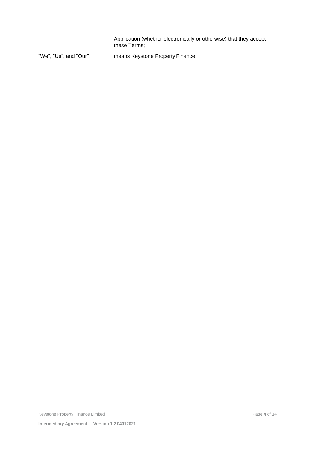Application (whether electronically or otherwise) that they accept these Terms;

"We", "Us", and "Our'' means Keystone Property Finance.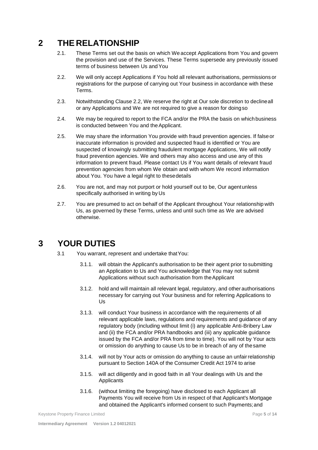# <span id="page-5-0"></span>**2 THE RELATIONSHIP**

- 2.1. These Terms set out the basis on which We accept Applications from You and govern the provision and use of the Services. These Terms supersede any previously issued terms of business between Us and You
- 2.2. We will only accept Applications if You hold all relevant authorisations, permissions or registrations for the purpose of carrying out Your business in accordance with these Terms.
- 2.3. Notwithstanding Clause 2.2, We reserve the right at Our sole discretion to declineall or any Applications and We are not required to give a reason for doingso
- 2.4. We may be required to report to the FCA and/or the PRA the basis on which business is conducted between You and the Applicant.
- 2.5. We may share the information You provide with fraud prevention agencies. If falseor inaccurate information is provided and suspected fraud is identified or You are suspected of knowingly submitting fraudulent mortgage Applications, We will notify fraud prevention agencies. We and others may also access and use any of this information to prevent fraud. Please contact Us if You want details of relevant fraud prevention agencies from whom We obtain and with whom We record information about You. You have a legal right to thesedetails
- 2.6. You are not, and may not purport or hold yourself out to be, Our agentunless specifically authorised in writing by Us
- 2.7. You are presumed to act on behalf of the Applicant throughout Your relationship with Us, as governed by these Terms, unless and until such time as We are advised otherwise.

## <span id="page-5-1"></span>**3 YOUR DUTIES**

- 3.1 You warrant, represent and undertake thatYou:
	- 3.1.1. will obtain the Applicant's authorisation to be their agent prior to submitting an Application to Us and You acknowledge that You may not submit Applications without such authorisation from theApplicant
	- 3.1.2. hold and will maintain all relevant legal, regulatory, and other authorisations necessary for carrying out Your business and for referring Applications to Us
	- 3.1.3. will conduct Your business in accordance with the requirements of all relevant applicable laws, regulations and requirements and guidance of any regulatory body (including without limit (i) any applicable Anti-Bribery Law and (ii) the FCA and/or PRA handbooks and (iii) any applicable guidance issued by the FCA and/or PRA from time to time). You will not by Your acts or omission do anything to cause Us to be in breach of any of thesame
	- 3.1.4. will not by Your acts or omission do anything to cause an unfairrelationship pursuant to Section 140A of the Consumer Credit Act 1974 to arise
	- 3.1.5. will act diligently and in good faith in all Your dealings with Us and the Applicants
	- 3.1.6. (without limiting the foregoing) have disclosed to each Applicant all Payments You will receive from Us in respect of that Applicant's Mortgage and obtained the Applicant's informed consent to such Payments;and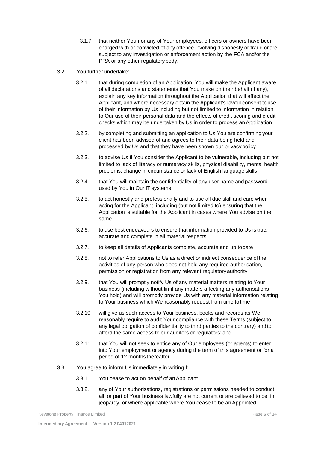- 3.1.7. that neither You nor any of Your employees, officers or owners have been charged with or convicted of any offence involving dishonesty or fraud or are subject to any investigation or enforcement action by the FCA and/or the PRA or any other regulatory body.
- 3.2. You further undertake:
	- 3.2.1. that during completion of an Application, You will make the Applicant aware of all declarations and statements that You make on their behalf (if any), explain any key information throughout the Application that will affect the Applicant, and where necessary obtain the Applicant's lawful consent to use of their information by Us including but not limited to information in relation to Our use of their personal data and the effects of credit scoring and credit checks which may be undertaken by Us in order to process an Application
	- 3.2.2. by completing and submitting an application to Us You are confirming your client has been advised of and agrees to their data being held and processed by Us and that they have been shown our privacypolicy
	- 3.2.3. to advise Us if You consider the Applicant to be vulnerable, including but not limited to lack of literacy or numeracy skills, physical disability, mental health problems, change in circumstance or lack of English language skills
	- 3.2.4. that You will maintain the confidentiality of any user name and password used by You in Our lT systems
	- 3.2.5. to act honestly and professionally and to use all due skill and care when acting for the Applicant, including (but not limited to) ensuring that the Application is suitable for the Applicant in cases where You advise on the same
	- 3.2.6. to use best endeavours to ensure that information provided to Us is true, accurate and complete in all materialrespects
	- 3.2.7. to keep all details of Applicants complete, accurate and up todate
	- 3.2.8. not to refer Applications to Us as a direct or indirect consequence of the activities of any person who does not hold any required authorisation, permission or registration from any relevant regulatoryauthority
	- 3.2.9. that You will promptly notify Us of any material matters relating to Your business (including without limit any matters affecting any authorisations You hold) and will promptly provide Us with any material information relating to Your business which We reasonably request from time totime
	- 3.2.10. will give us such access to Your business, books and records as We reasonably require to audit Your compliance with these Terms (subject to any legal obligation of confidentiality to third parties to the contrary) and to afford the same access to our auditors or regulators; and
	- 3.2.11. that You will not seek to entice any of Our employees (or agents) to enter into Your employment or agency during the term of this agreement or for a period of 12 months thereafter.
- 3.3. You agree to inform Us immediately in writingif:
	- 3.3.1. You cease to act on behalf of anApplicant
	- 3.3.2. any of Your authorisations, registrations or permissions needed to conduct all, or part of Your business lawfully are not current or are believed to be in jeopardy, or where applicable where You cease to be an Appointed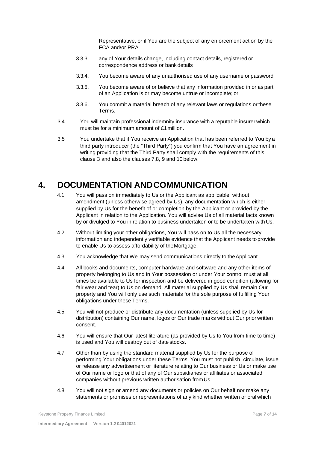Representative, or if You are the subject of any enforcement action by the FCA and/or PRA

- 3.3.3. any of Your details change, including contact details, registered or correspondence address or bankdetails
- 3.3.4. You become aware of any unauthorised use of any username or password
- 3.3.5. You become aware of or believe that any information provided in or as part of an Application is or may become untrue or incomplete; or
- 3.3.6. You commit a material breach of any relevant laws or regulations or these Terms.
- 3.4 You will maintain professional indemnity insurance with a reputable insurer which must be for a minimum amount of £1million.
- 3.5 You undertake that if You receive an Application that has been referred to You by a third party introducer (the "Third Party") you confirm that You have an agreement in writing providing that the Third Party shall comply with the requirements of this clause 3 and also the clauses 7,8, 9 and 10 below.

# <span id="page-7-0"></span>**4. DOCUMENTATION ANDCOMMUNICATION**

- 4.1. You will pass on immediately to Us or the Applicant as applicable, without amendment (unless otherwise agreed by Us), any documentation which is either supplied by Us for the benefit of or completion by the Applicant or provided by the Applicant in relation to the Application. You will advise Us of all material facts known by or divulged to You in relation to business undertaken or to be undertaken with Us.
- 4.2. Without limiting your other obligations, You will pass on to Us all the necessary information and independently verifiable evidence that the Applicant needs toprovide to enable Us to assess affordability of theMortgage.
- 4.3. You acknowledge that We may send communications directly to theApplicant.
- 4.4. All books and documents, computer hardware and software and any other items of property belonging to Us and in Your possession or under Your control must at all times be available to Us for inspection and be delivered in good condition (allowing for fair wear and tear) to Us on demand. All material supplied by Us shall remain Our property and You will only use such materials for the sole purpose of fulfilling Your obligations under these Terms.
- 4.5. You will not produce or distribute any documentation (unless supplied by Us for distribution) containing Our name, logos or Our trade marks without Our prior written consent.
- 4.6. You will ensure that Our latest literature (as provided by Us to You from time to time) is used and You will destroy out of date stocks.
- 4.7. Other than by using the standard material supplied by Us for the purpose of performing Your obligations under these Terms, You must not publish, circulate, issue or release any advertisement or literature relating to Our business or Us or make use of Our name or logo or that of any of Our subsidiaries or affiliates or associated companies without previous written authorisation fromUs.
- 4.8. You will not sign or amend any documents or policies on Our behalf nor make any statements or promises or representations of any kind whether written or oral which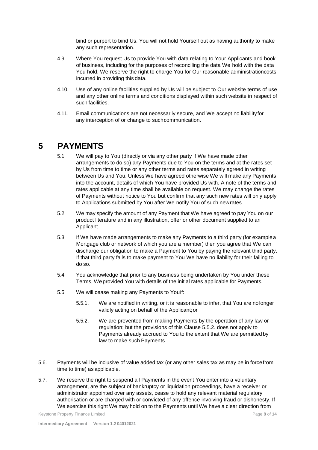bind or purport to bind Us. You will not hold Yourself out as having authority to make any such representation.

- 4.9. Where You request Us to provide You with data relating to Your Applicants and book of business, including for the purposes of reconciling the data We hold with the data You hold, We reserve the right to charge You for Our reasonable administrationcosts incurred in providing this data.
- 4.10. Use of any online facilities supplied by Us will be subject to Our website terms of use and any other online terms and conditions displayed within such website in respect of such facilities.
- 4.11. Email communications are not necessarily secure, and We accept no liabilityfor any interception of or change to suchcommunication.

#### <span id="page-8-0"></span>**5 PAYMENTS**

- 5.1. We will pay to You (directly or via any other party if We have made other arrangements to do so) any Payments due to You on the terms and at the rates set by Us from time to time or any other terms and rates separately agreed in writing between Us and You. Unless We have agreed otherwise We will make any Payments into the account, details of which You have provided Us with. A note of the terms and rates applicable at any time shall be available on request. We may change the rates of Payments without notice to You but confirm that any such new rates will only apply to Applications submitted by You after We notify You of such newrates.
- 5.2. We may specify the amount of any Payment that We have agreed to pay You on our product literature and in any illustration, offer or other document supplied to an Applicant.
- 5.3. If We have made arrangements to make any Payments to a third party (for examplea Mortgage club or network of which you are a member) then you agree that We can discharge our obligation to make a Payment to You by paying the relevant third party. If that third party fails to make payment to You We have no liability for their failing to do so.
- 5.4. You acknowledge that prior to any business being undertaken by You under these Terms, Weprovided You with details of the initial rates applicable for Payments.
- 5.5. We will cease making any Payments to Youif:
	- 5.5.1. We are notified in writing, or it is reasonable to infer, that You are nolonger validly acting on behalf of the Applicant;or
	- 5.5.2. We are prevented from making Payments by the operation of any law or regulation; but the provisions of this Clause 5.5.2. does not apply to Payments already accrued to You to the extent that We are permitted by law to make such Payments.
- 5.6. Payments will be inclusive of value added tax (or any other sales tax as may be in forcefrom time to time) as applicable.
- 5.7. We reserve the right to suspend all Payments in the event You enter into a voluntary arrangement, are the subject of bankruptcy or liquidation proceedings, have a receiver or administrator appointed over any assets, cease to hold any relevant material regulatory authorisation or are charged with or convicted of any offence involving fraud or dishonesty. If We exercise this right We may hold on to the Payments until We have a clear direction from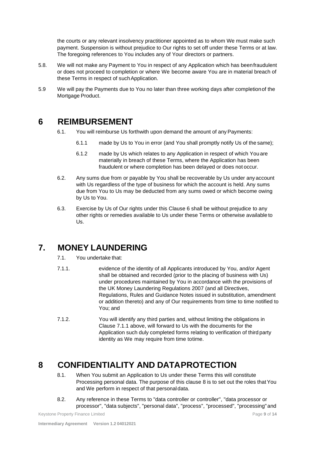the courts or any relevant insolvency practitioner appointed as to whom We must make such payment. Suspension is without prejudice to Our rights to set off under these Terms or at law. The foregoing references to You includes any of Your directors or partners.

- 5.8. We will not make any Payment to You in respect of any Application which has beenfraudulent or does not proceed to completion or where We become aware You are in material breach of these Terms in respect of such Application.
- 5.9 We will pay the Payments due to You no later than three working days after completionof the Mortgage Product.

#### <span id="page-9-0"></span>**6 REIMBURSEMENT**

- 6.1. You will reimburse Us forthwith upon demand the amount of anyPayments:
	- 6.1.1 made by Us to You in error (and You shall promptly notify Us of the same);
	- 6.1.2 made by Us which relates to any Application in respect of which You are materially in breach of these Terms, where the Application has been fraudulent or where completion has been delayed or does not occur.
- 6.2. Any sums due from or payable by You shall be recoverable by Us under any account with Us regardless of the type of business for which the account is held. Any sums due from You to Us may be deducted from any sums owed or which become owing by Us to You.
- 6.3. Exercise by Us of Our rights under this Clause 6 shall be without prejudice to any other rights or remedies available to Us under these Terms or otherwise available to Us.

# <span id="page-9-1"></span>**7. MONEY LAUNDERING**

- 7.1. You undertake that:
- 7.1.1. evidence of the identity of all Applicants introduced by You, and/or Agent shall be obtained and recorded (prior to the placing of business with Us) under procedures maintained by You in accordance with the provisions of the UK Money Laundering Regulations 2007 (and all Directives, Regulations, Rules and Guidance Notes issued in substitution, amendment or addition thereto) and any of Our requirements from time to time notified to You; and
- 7.1.2. You will identify any third parties and, without limiting the obligations in Clause 7.1.1 above, will forward to Us with the documents for the Application such duly completed forms relating to verification of third party identity as We may require from time totime.

# <span id="page-9-2"></span>**8 CONFIDENTIALITY AND DATAPROTECTION**

- 8.1. When You submit an Application to Us under these Terms this will constitute Processing personal data. The purpose of this clause 8 is to set out the roles that You and We perform in respect of that personaldata.
- 8.2. Any reference in these Terms to "data controller or controller'', "data processor or processor", "data subjects", "personal data", "process", "processed", "processing"and

Keystone Property Finance Limited **Page 9** of 14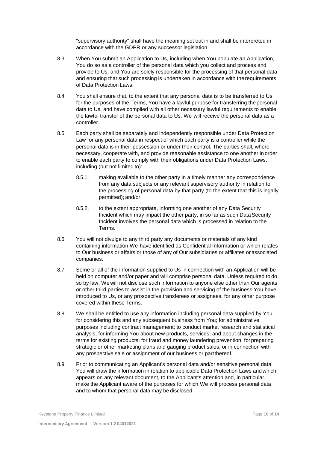"supervisory authority" shall have the meaning set out in and shall be interpreted in accordance with the GDPR or any successor legislation.

- 8.3. When You submit an Application to Us, including when You populate an Application, You do so as a controller of the personal data which you collect and process and provide to Us, and You are solely responsible for the processing of that personal data and ensuring that such processing is undertaken in accordance with the requirements of Data Protection Laws.
- 8.4. You shall ensure that, to the extent that any personal data is to be transferred to Us for the purposes of the Terms, You have a lawful purpose for transferring the personal data to Us, and have complied with all other necessary lawful requirements to enable the lawful transfer of the personal data to Us. We will receive the personal data as a controller.
- 8.5. Each party shall be separately and independently responsible under Data Protection Law for any personal data in respect of which each party is a controller while the personal data is in their possession or under their control. The parties shall, where necessary, cooperate with, and provide reasonable assistance to one another in order to enable each party to comply with their obligations under Data Protection Laws, including (but not limited to):
	- 8.5.1. making available to the other party in a timely manner any correspondence from any data subjects or any relevant supervisory authority in relation to the processing of personal data by that party (to the extent that this is legally permitted); and/or
	- 8.5.2. to the extent appropriate, informing one another of any Data Security Incident which may impact the other party, in so far as such DataSecurity Incident involves the personal data which is processed in relation to the Terms.
- 8.6. You will not divulge to any third party any documents or materials of any kind containing information We have identified as Confidential Information or which relates to Our business or affairs or those of any of Our subsidiaries or affiliates or associated companies.
- 8.7. Some or all of the information supplied to Us in connection with an Application will be held on computer and/or paper and will comprise personal data. Unless required to do so by law, We will not disclose such information to anyone else other than Our agents or other third parties to assist in the provision and servicing of the business You have introduced to Us, or any prospective transferees or assignees, for any other purpose covered within these Terms.
- 8.8. We shall be entitled to use any information including personal data supplied by You for considering this and any subsequent business from You; for administrative purposes including contract management; to conduct market research and statistical analysis; for informing You about new products, services, and about changes in the terms for existing products; for fraud and money laundering prevention; forpreparing strategic or other marketing plans and gauging product sales, or in connection with any prospective sale or assignment of our business or partthereof.
- 8.9. Prior to communicating an Applicant's personal data and/or sensitive personal data You will draw the information in relation to applicable Data Protection Laws and which appears on any relevant document, to the Applicant's attention and, in particular, make the Applicant aware of the purposes for which We will process personal data and to whom that personal data may be disclosed.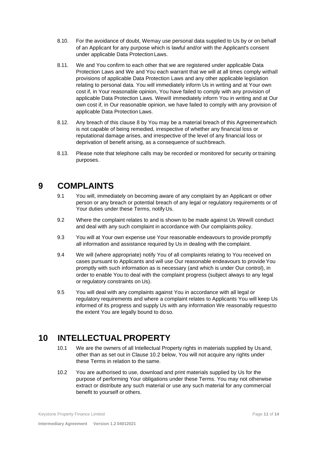- 8.10. For the avoidance of doubt, Wemay use personal data supplied to Us by or on behalf of an Applicant for any purpose which is lawful and/or with the Applicant's consent under applicable Data ProtectionLaws.
- 8.11. We and You confirm to each other that we are registered under applicable Data Protection Laws and We and You each warrant that we will at all times comply withall provisions of applicable Data Protection Laws and any other applicable legislation relating to personal data. You will immediately inform Us in writing and at Your own cost if, in Your reasonable opinion, You have failed to comply with any provision of applicable Data Protection Laws. Wewill immediately inform You in writing and at Our own cost if, in Our reasonable opinion, we have failed to comply with any provision of applicable Data Protection Laws.
- 8.12. Any breach of this clause 8 by You may be a material breach of this Agreementwhich is not capable of being remedied, irrespective of whether any financial loss or reputational damage arises, and irrespective of the level of any financial loss or deprivation of benefit arising, as a consequence of suchbreach.
- 8.13. Please note that telephone calls may be recorded or monitored for security ortraining purposes.

## <span id="page-11-0"></span>**9 COMPLAINTS**

- 9.1 You will, immediately on becoming aware of any complaint by an Applicant or other person or any breach or potential breach of any legal or regulatory requirements or of Your duties under these Terms, notify Us.
- 9.2 Where the complaint relates to and is shown to be made against Us Wewill conduct and deal with any such complaint in accordance with Our complaints policy.
- 9.3 You will at Your own expense use Your reasonable endeavours to provide promptly all information and assistance required by Us in dealing with the complaint.
- 9.4 We will (where appropriate) notify You of all complaints relating to You received on cases pursuant to Applicants and will use Our reasonable endeavours to provide You promptly with such information as is necessary (and which is under Our control), in order to enable You to deal with the complaint progress (subject always to any legal or regulatory constraints on Us).
- 9.5 You will deal with any complaints against You in accordance with all legal or regulatory requirements and where a complaint relates to Applicants You will keep Us informed of its progress and supply Us with any information We reasonably requestto the extent You are legally bound to doso.

## <span id="page-11-1"></span>**10 INTELLECTUAL PROPERTY**

- 10.1 We are the owners of all Intellectual Property rights in materials supplied by Usand, other than as set out in Clause 10.2 below, You will not acquire any rights under these Terms in relation to the same.
- 10.2 You are authorised to use, download and print materials supplied by Us for the purpose of performing Your obligations under these Terms. You may not otherwise extract or distribute any such material or use any such material for any commercial benefit to yourself or others.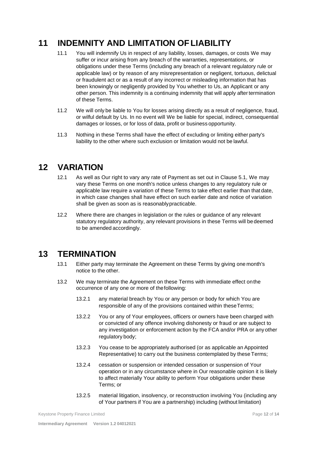# <span id="page-12-0"></span>**11 INDEMNITY AND LIMITATION OFLIABILITY**

- 11.1 You will indemnify Us in respect of any liability, losses, damages, or costs We may suffer or incur arising from any breach of the warranties, representations, or obligations under these Terms (including any breach of a relevant regulatory rule or applicable law) or by reason of any misrepresentation or negligent, tortuous, delictual or fraudulent act or as a result of any incorrect or misleading information that has been knowingly or negligently provided by You whether to Us, an Applicant or any other person. This indemnity is a continuing indemnity that will apply aftertermination of these Terms.
- 11.2 We will only be liable to You for losses arising directly as a result of negligence, fraud, or wilful default by Us. In no event will We be liable for special, indirect, consequential damages or losses, or for loss of data, profit or business opportunity.
- 11.3 Nothing in these Terms shall have the effect of excluding or limiting either party's liability to the other where such exclusion or limitation would not be lawful.

#### <span id="page-12-1"></span>**12 VARIATION**

- 12.1 As well as Our right to vary any rate of Payment as set out in Clause 5.1, We may vary these Terms on one month's notice unless changes to any regulatory rule or applicable law require a variation of these Terms to take effect earlier than that date, in which case changes shall have effect on such earlier date and notice of variation shall be given as soon as is reasonablypracticable.
- 12.2 Where there are changes in legislation or the rules or guidance of any relevant statutory regulatory authority, any relevant provisions in these Terms will be deemed to be amended accordingly.

#### <span id="page-12-2"></span>**13 TERMINATION**

- 13.1 Either party may terminate the Agreement on these Terms by giving one month's notice to the other.
- 13.2 We may terminate the Agreement on these Terms with immediate effect onthe occurrence of any one or more of thefollowing:
	- 13.2.1 any material breach by You or any person or body for which You are responsible of any of the provisions contained within these Terms;
	- 13.2.2 You or any of Your employees, officers or owners have been charged with or convicted of any offence involving dishonesty or fraud or are subject to any investigation or enforcement action by the FCA and/or PRA or any other regulatory body;
	- 13.2.3 You cease to be appropriately authorised (or as applicable an Appointed Representative) to carry out the business contemplated by these Terms;
	- 13.2.4 cessation or suspension or intended cessation or suspension of Your operation or in any circumstance where in Our reasonable opinion it is likely to affect materially Your ability to perform Your obligations under these Terms; or
	- 13.2.5 material litigation, insolvency, or reconstruction involving You (including any of Your partners if You are a partnership) including (without limitation)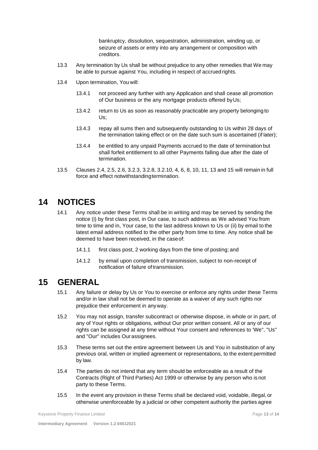bankruptcy, dissolution, sequestration, administration, winding up, or seizure of assets or entry into any arrangement or composition with creditors.

- 13.3 Any termination by Us shall be without prejudice to any other remedies that We may be able to pursue against You, including in respect of accrued rights.
- 13.4 Upon termination, You will:
	- 13.4.1 not proceed any further with any Application and shall cease all promotion of Our business or the any mortgage products offered byUs;
	- 13.4.2 return to Us as soon as reasonably practicable any property belonging to Us;
	- 13.4.3 repay all sums then and subsequently outstanding to Us within 28 days of the termination taking effect or on the date such sum is ascertained (if later);
	- 13.4.4 be entitled to any unpaid Payments accrued to the date of termination but shall forfeit entitlement to all other Payments falling due after the date of termination.
- 13.5 Clauses 2.4, 2.5, 2.6, 3.2.3, 3.2.8, 3.2.10, 4, 6, 8, 10, 11, 13 and 15 will remain in full force and effect notwithstandingtermination.

## <span id="page-13-0"></span>**14 NOTICES**

- 14.1 Any notice under these Terms shall be in writing and may be served by sending the notice (i) by first class post, in Our case, to such address as We advised You from time to time and in, Your case, to the last address known to Us or (ii) by email to the latest email address notified to the other party from time to time. Any notice shall be deemed to have been received, in the caseof:
	- 14.1.1 first class post, 2 working days from the time of posting; and
	- 14.1.2 by email upon completion of transmission, subject to non-receipt of notification of failure oftransmission.

#### <span id="page-13-1"></span>**15 GENERAL**

- 15.1 Any failure or delay by Us or You to exercise or enforce any rights under these Terms and/or in law shall not be deemed to operate as a waiver of any such rights nor prejudice their enforcement in anyway.
- 15.2 You may not assign, transfer subcontract or otherwise dispose, in whole or in part, of any of Your rights or obligations, without Our prior written consent. All or any of our rights can be assigned at any time without Your consent and references to 'We", "Us" and "Our'' includes Ourassignees.
- 15.3 These terms set out the entire agreement between Us and You in substitution of any previous oral, written or implied agreement or representations, to the extent permitted by law.
- 15.4 The parties do not intend that any term should be enforceable as a result of the Contracts (Right of Third Parties) Act 1999 or otherwise by any person who is not party to these Terms.
- 15.5 In the event any provision in these Terms shall be declared void, voidable, illegal, or otherwise unenforceable by a judicial or other competent authority the parties agree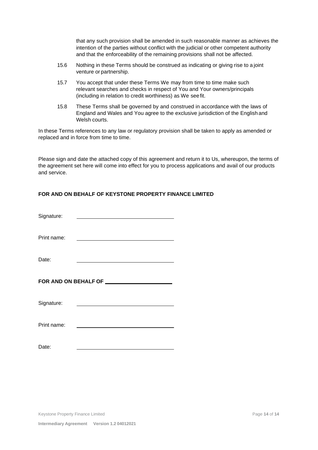that any such provision shall be amended in such reasonable manner as achieves the intention of the parties without conflict with the judicial or other competent authority and that the enforceability of the remaining provisions shall not be affected.

- 15.6 Nothing in these Terms should be construed as indicating or giving rise to a joint venture or partnership.
- 15.7 You accept that under these Terms We may from time to time make such relevant searches and checks in respect of You and Your owners/principals (including in relation to credit worthiness) as We see fit.
- 15.8 These Terms shall be governed by and construed in accordance with the laws of England and Wales and You agree to the exclusive jurisdiction of the English and Welsh courts.

In these Terms references to any law or regulatory provision shall be taken to apply as amended or replaced and in force from time to time.

Please sign and date the attached copy of this agreement and return it to Us, whereupon, the terms of the agreement set here will come into effect for you to process applications and avail of our products and service.

#### **FOR AND ON BEHALF OF KEYSTONE PROPERTY FINANCE LIMITED**

| Signature:                               |  |  |  |  |
|------------------------------------------|--|--|--|--|
| Print name:                              |  |  |  |  |
| Date:                                    |  |  |  |  |
| FOR AND ON BEHALF OF <b>FOR AND SOME</b> |  |  |  |  |
| Signature:                               |  |  |  |  |
|                                          |  |  |  |  |
| Print name:                              |  |  |  |  |